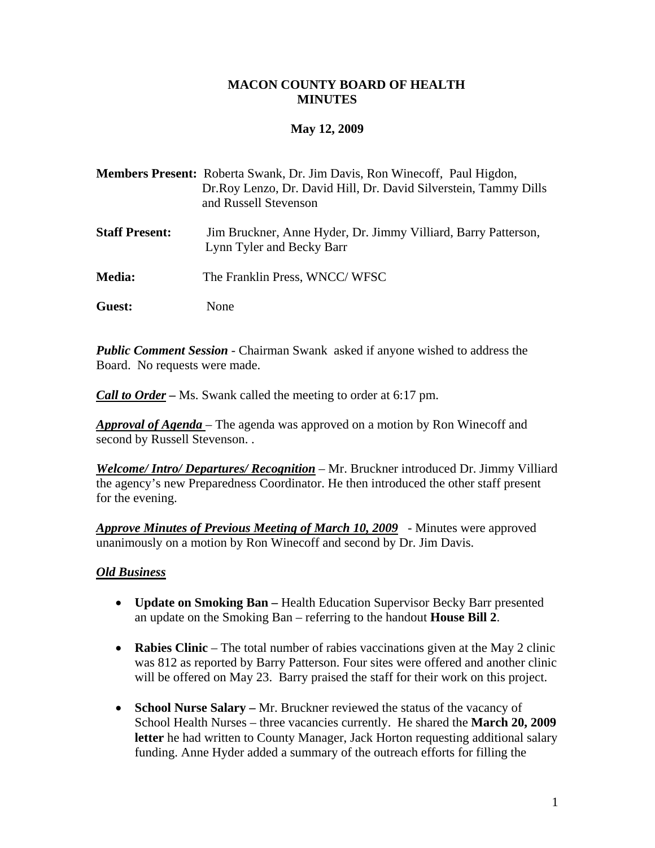#### **MACON COUNTY BOARD OF HEALTH MINUTES**

# **May 12, 2009**

- **Members Present:** Roberta Swank, Dr. Jim Davis, Ron Winecoff, Paul Higdon, Dr.Roy Lenzo, Dr. David Hill, Dr. David Silverstein, Tammy Dills and Russell Stevenson
- **Staff Present:** Jim Bruckner, Anne Hyder, Dr. Jimmy Villiard, Barry Patterson, Lynn Tyler and Becky Barr
- **Media:** The Franklin Press, WNCC/ WFSC
- **Guest:** None

*Public Comment Session* - Chairman Swank asked if anyone wished to address the Board. No requests were made.

*Call to Order –* Ms. Swank called the meeting to order at 6:17 pm.

*Approval of Agenda* – The agenda was approved on a motion by Ron Winecoff and second by Russell Stevenson. .

*Welcome/ Intro/ Departures/ Recognition* – Mr. Bruckner introduced Dr. Jimmy Villiard the agency's new Preparedness Coordinator. He then introduced the other staff present for the evening.

*Approve Minutes of Previous Meeting of March 10, 2009* - Minutes were approved unanimously on a motion by Ron Winecoff and second by Dr. Jim Davis.

# *Old Business*

- **Update on Smoking Ban** Health Education Supervisor Becky Barr presented an update on the Smoking Ban – referring to the handout **House Bill 2**.
- **Rabies Clinic** The total number of rabies vaccinations given at the May 2 clinic was 812 as reported by Barry Patterson. Four sites were offered and another clinic will be offered on May 23. Barry praised the staff for their work on this project.
- **School Nurse Salary** Mr. Bruckner reviewed the status of the vacancy of School Health Nurses – three vacancies currently. He shared the **March 20, 2009**  letter he had written to County Manager, Jack Horton requesting additional salary funding. Anne Hyder added a summary of the outreach efforts for filling the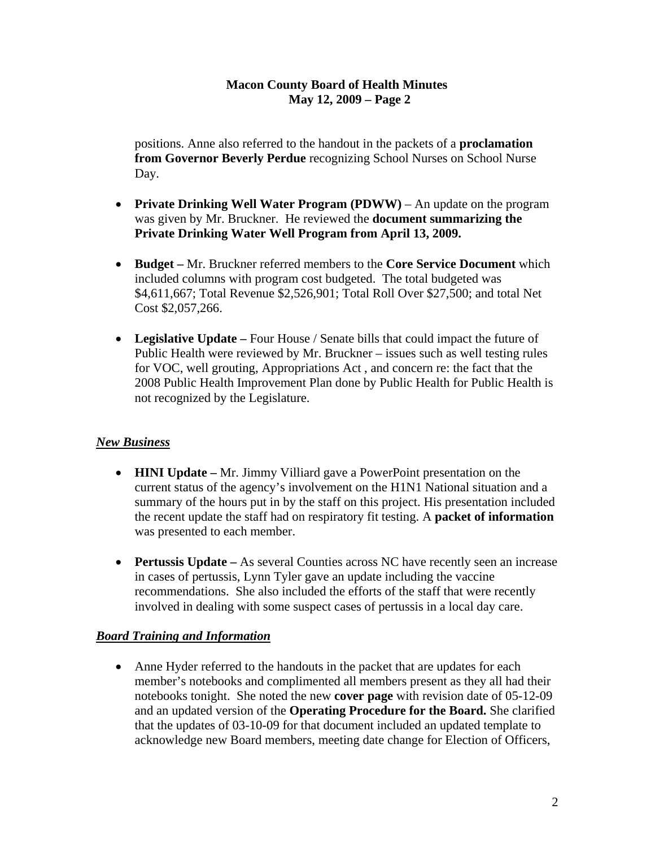# **Macon County Board of Health Minutes May 12, 2009 – Page 2**

 positions. Anne also referred to the handout in the packets of a **proclamation from Governor Beverly Perdue** recognizing School Nurses on School Nurse Day.

- **Private Drinking Well Water Program (PDWW)** An update on the program was given by Mr. Bruckner. He reviewed the **document summarizing the Private Drinking Water Well Program from April 13, 2009.**
- **Budget** Mr. Bruckner referred members to the **Core Service Document** which included columns with program cost budgeted. The total budgeted was \$4,611,667; Total Revenue \$2,526,901; Total Roll Over \$27,500; and total Net Cost \$2,057,266.
- Legislative Update Four House / Senate bills that could impact the future of Public Health were reviewed by Mr. Bruckner – issues such as well testing rules for VOC, well grouting, Appropriations Act , and concern re: the fact that the 2008 Public Health Improvement Plan done by Public Health for Public Health is not recognized by the Legislature.

# *New Business*

- **HINI Update** Mr. Jimmy Villiard gave a PowerPoint presentation on the current status of the agency's involvement on the H1N1 National situation and a summary of the hours put in by the staff on this project. His presentation included the recent update the staff had on respiratory fit testing. A **packet of information** was presented to each member.
- **Pertussis Update** As several Counties across NC have recently seen an increase in cases of pertussis, Lynn Tyler gave an update including the vaccine recommendations. She also included the efforts of the staff that were recently involved in dealing with some suspect cases of pertussis in a local day care.

# *Board Training and Information*

• Anne Hyder referred to the handouts in the packet that are updates for each member's notebooks and complimented all members present as they all had their notebooks tonight. She noted the new **cover page** with revision date of 05-12-09 and an updated version of the **Operating Procedure for the Board.** She clarified that the updates of 03-10-09 for that document included an updated template to acknowledge new Board members, meeting date change for Election of Officers,